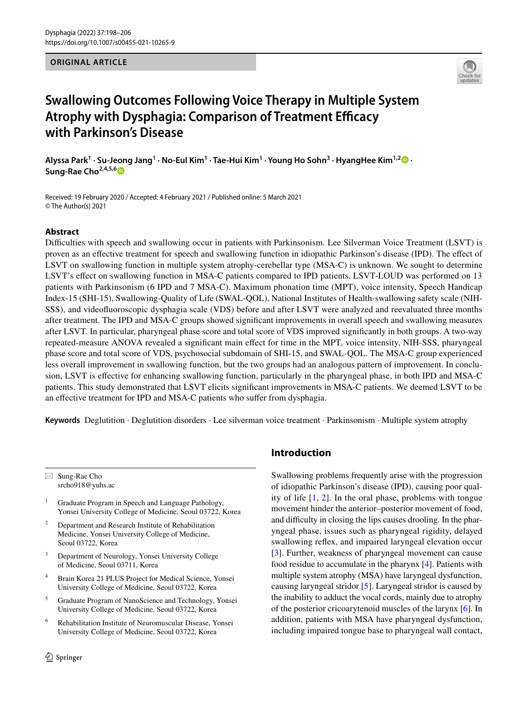#### **ORIGINAL ARTICLE**



# **Swallowing Outcomes Following Voice Therapy in Multiple System**  Atrophy with Dysphagia: Comparison of Treatment Efficacy **with Parkinson's Disease**

 $\Lambda$ lyssaPark<sup>1</sup> · Su-Jeong Jang<sup>1</sup> · No-Eul Kim<sup>1</sup> · Tae-Hui Kim<sup>1</sup> · Young Ho Sohn<sup>3</sup> · HyangHee Kim<sup>1,2</sup> . **Sung‑Rae Cho2,4,5,[6](http://orcid.org/0000-0003-1429-2684)**

Received: 19 February 2020 / Accepted: 4 February 2021 / Published online: 5 March 2021 © The Author(s) 2021

### **Abstract**

Difficulties with speech and swallowing occur in patients with Parkinsonism. Lee Silverman Voice Treatment (LSVT) is proven as an efective treatment for speech and swallowing function in idiopathic Parkinson's disease (IPD). The efect of LSVT on swallowing function in multiple system atrophy-cerebellar type (MSA-C) is unknown. We sought to determine LSVT's efect on swallowing function in MSA-C patients compared to IPD patients. LSVT-LOUD was performed on 13 patients with Parkinsonism (6 IPD and 7 MSA-C). Maximum phonation time (MPT), voice intensity, Speech Handicap Index-15 (SHI-15), Swallowing-Quality of Life (SWAL-QOL), National Institutes of Health-swallowing safety scale (NIH-SSS), and videofuoroscopic dysphagia scale (VDS) before and after LSVT were analyzed and reevaluated three months after treatment. The IPD and MSA-C groups showed signifcant improvements in overall speech and swallowing measures after LSVT. In particular, pharyngeal phase score and total score of VDS improved signifcantly in both groups. A two-way repeated-measure ANOVA revealed a signifcant main efect for time in the MPT, voice intensity, NIH-SSS, pharyngeal phase score and total score of VDS, psychosocial subdomain of SHI-15, and SWAL-QOL. The MSA-C group experienced less overall improvement in swallowing function, but the two groups had an analogous pattern of improvement. In conclusion, LSVT is efective for enhancing swallowing function, particularly in the pharyngeal phase, in both IPD and MSA-C patients. This study demonstrated that LSVT elicits signifcant improvements in MSA-C patients. We deemed LSVT to be an effective treatment for IPD and MSA-C patients who suffer from dysphagia.

**Keywords** Deglutition · Deglutition disorders · Lee silverman voice treatment · Parkinsonism · Multiple system atrophy

 $\boxtimes$  Sung-Rae Cho srcho918@yuhs.ac

<sup>1</sup> Graduate Program in Speech and Language Pathology, Yonsei University College of Medicine, Seoul 03722, Korea

- <sup>2</sup> Department and Research Institute of Rehabilitation Medicine, Yonsei University College of Medicine, Seoul 03722, Korea
- <sup>3</sup> Department of Neurology, Yonsei University College of Medicine, Seoul 03711, Korea
- <sup>4</sup> Brain Korea 21 PLUS Project for Medical Science, Yonsei University College of Medicine, Seoul 03722, Korea
- <sup>5</sup> Graduate Program of NanoScience and Technology, Yonsei University College of Medicine, Seoul 03722, Korea
- <sup>6</sup> Rehabilitation Institute of Neuromuscular Disease, Yonsei University College of Medicine, Seoul 03722, Korea

## **Introduction**

Swallowing problems frequently arise with the progression of idiopathic Parkinson's disease (IPD), causing poor quality of life [[1](#page-7-0), [2](#page-7-1)]. In the oral phase, problems with tongue movement hinder the anterior–posterior movement of food, and difficulty in closing the lips causes drooling. In the pharyngeal phase, issues such as pharyngeal rigidity, delayed swallowing refex, and impaired laryngeal elevation occur [[3\]](#page-7-2). Further, weakness of pharyngeal movement can cause food residue to accumulate in the pharynx [\[4](#page-7-3)]. Patients with multiple system atrophy (MSA) have laryngeal dysfunction, causing laryngeal stridor [[5\]](#page-7-4). Laryngeal stridor is caused by the inability to adduct the vocal cords, mainly due to atrophy of the posterior cricoarytenoid muscles of the larynx [[6\]](#page-7-5). In addition, patients with MSA have pharyngeal dysfunction, including impaired tongue base to pharyngeal wall contact,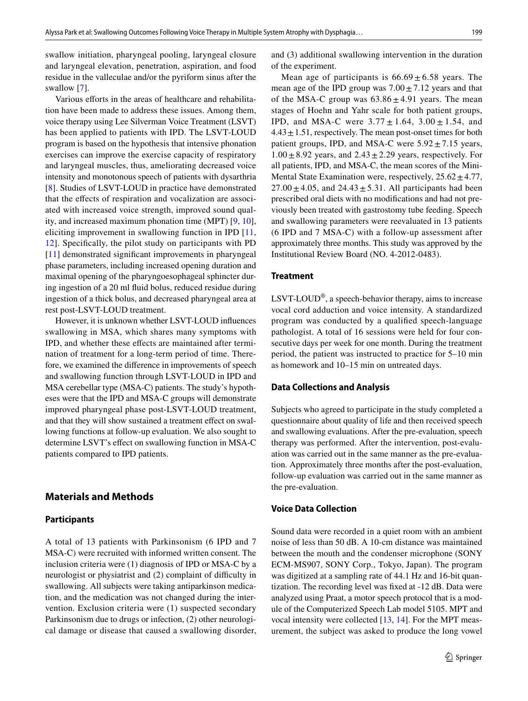swallow initiation, pharyngeal pooling, laryngeal closure and laryngeal elevation, penetration, aspiration, and food residue in the valleculae and/or the pyriform sinus after the swallow [[7](#page-7-6)].

Various efforts in the areas of healthcare and rehabilitation have been made to address these issues. Among them, voice therapy using Lee Silverman Voice Treatment (LSVT) has been applied to patients with IPD. The LSVT-LOUD program is based on the hypothesis that intensive phonation exercises can improve the exercise capacity of respiratory and laryngeal muscles, thus, ameliorating decreased voice intensity and monotonous speech of patients with dysarthria [\[8](#page-7-7)]. Studies of LSVT-LOUD in practice have demonstrated that the efects of respiration and vocalization are associated with increased voice strength, improved sound quality, and increased maximum phonation time (MPT) [\[9](#page-7-8), [10](#page-7-9)], eliciting improvement in swallowing function in IPD [\[11,](#page-7-10) [12](#page-8-0)]. Specifcally, the pilot study on participants with PD [\[11\]](#page-7-10) demonstrated significant improvements in pharyngeal phase parameters, including increased opening duration and maximal opening of the pharyngoesophageal sphincter during ingestion of a 20 ml fuid bolus, reduced residue during ingestion of a thick bolus, and decreased pharyngeal area at rest post-LSVT-LOUD treatment.

However, it is unknown whether LSVT-LOUD infuences swallowing in MSA, which shares many symptoms with IPD, and whether these efects are maintained after termination of treatment for a long-term period of time. Therefore, we examined the diference in improvements of speech and swallowing function through LSVT-LOUD in IPD and MSA cerebellar type (MSA-C) patients. The study's hypotheses were that the IPD and MSA-C groups will demonstrate improved pharyngeal phase post-LSVT-LOUD treatment, and that they will show sustained a treatment effect on swallowing functions at follow-up evaluation. We also sought to determine LSVT's effect on swallowing function in MSA-C patients compared to IPD patients.

## **Materials and Methods**

#### **Participants**

A total of 13 patients with Parkinsonism (6 IPD and 7 MSA-C) were recruited with informed written consent. The inclusion criteria were (1) diagnosis of IPD or MSA-C by a neurologist or physiatrist and (2) complaint of difficulty in swallowing. All subjects were taking antiparkinson medication, and the medication was not changed during the intervention. Exclusion criteria were (1) suspected secondary Parkinsonism due to drugs or infection, (2) other neurological damage or disease that caused a swallowing disorder,

and (3) additional swallowing intervention in the duration of the experiment.

Mean age of participants is  $66.69 \pm 6.58$  years. The mean age of the IPD group was  $7.00 \pm 7.12$  years and that of the MSA-C group was  $63.86 \pm 4.91$  years. The mean stages of Hoehn and Yahr scale for both patient groups, IPD, and MSA-C were  $3.77 \pm 1.64$ ,  $3.00 \pm 1.54$ , and  $4.43 \pm 1.51$ , respectively. The mean post-onset times for both patient groups, IPD, and MSA-C were  $5.92 \pm 7.15$  years,  $1.00 \pm 8.92$  years, and  $2.43 \pm 2.29$  years, respectively. For all patients, IPD, and MSA-C, the mean scores of the Mini-Mental State Examination were, respectively,  $25.62 \pm 4.77$ ,  $27.00 \pm 4.05$ , and  $24.43 \pm 5.31$ . All participants had been prescribed oral diets with no modifcations and had not previously been treated with gastrostomy tube feeding. Speech and swallowing parameters were reevaluated in 13 patients (6 IPD and 7 MSA-C) with a follow-up assessment after approximately three months. This study was approved by the Institutional Review Board (NO. 4-2012-0483).

#### **Treatment**

LSVT-LOUD®, a speech-behavior therapy, aims to increase vocal cord adduction and voice intensity. A standardized program was conducted by a qualifed speech-language pathologist. A total of 16 sessions were held for four consecutive days per week for one month. During the treatment period, the patient was instructed to practice for 5–10 min as homework and 10–15 min on untreated days.

#### **Data Collections and Analysis**

Subjects who agreed to participate in the study completed a questionnaire about quality of life and then received speech and swallowing evaluations. After the pre-evaluation, speech therapy was performed. After the intervention, post-evaluation was carried out in the same manner as the pre-evaluation. Approximately three months after the post-evaluation, follow-up evaluation was carried out in the same manner as the pre-evaluation.

## **Voice Data Collection**

Sound data were recorded in a quiet room with an ambient noise of less than 50 dB. A 10-cm distance was maintained between the mouth and the condenser microphone (SONY ECM-MS907, SONY Corp., Tokyo, Japan). The program was digitized at a sampling rate of 44.1 Hz and 16-bit quantization. The recording level was fxed at -12 dB. Data were analyzed using Praat, a motor speech protocol that is a module of the Computerized Speech Lab model 5105. MPT and vocal intensity were collected [[13](#page-8-1), [14](#page-8-2)]. For the MPT measurement, the subject was asked to produce the long vowel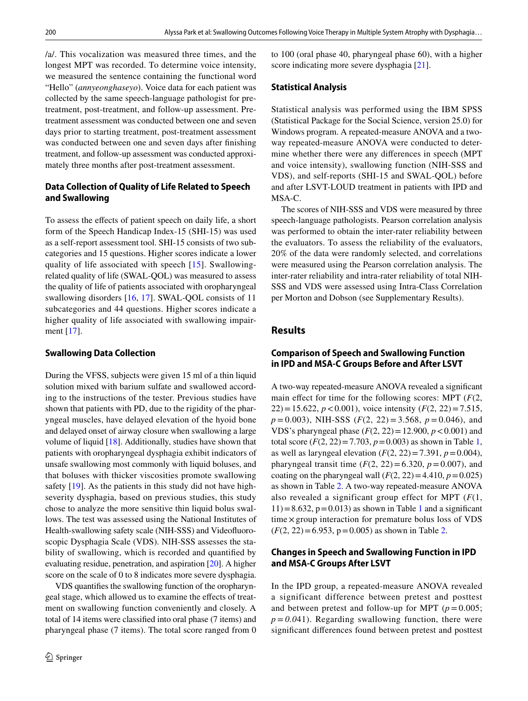/a/. This vocalization was measured three times, and the longest MPT was recorded. To determine voice intensity, we measured the sentence containing the functional word "Hello" (*annyeonghaseyo*). Voice data for each patient was collected by the same speech-language pathologist for pretreatment, post-treatment, and follow-up assessment. Pretreatment assessment was conducted between one and seven days prior to starting treatment, post-treatment assessment was conducted between one and seven days after fnishing treatment, and follow-up assessment was conducted approximately three months after post-treatment assessment.

## **Data Collection of Quality of Life Related to Speech and Swallowing**

To assess the efects of patient speech on daily life, a short form of the Speech Handicap Index-15 (SHI-15) was used as a self-report assessment tool. SHI-15 consists of two subcategories and 15 questions. Higher scores indicate a lower quality of life associated with speech [\[15\]](#page-8-3). Swallowingrelated quality of life (SWAL-QOL) was measured to assess the quality of life of patients associated with oropharyngeal swallowing disorders [[16,](#page-8-4) [17](#page-8-5)]. SWAL-QOL consists of 11 subcategories and 44 questions. Higher scores indicate a higher quality of life associated with swallowing impairment [[17](#page-8-5)].

### **Swallowing Data Collection**

During the VFSS, subjects were given 15 ml of a thin liquid solution mixed with barium sulfate and swallowed according to the instructions of the tester. Previous studies have shown that patients with PD, due to the rigidity of the pharyngeal muscles, have delayed elevation of the hyoid bone and delayed onset of airway closure when swallowing a large volume of liquid [[18\]](#page-8-6). Additionally, studies have shown that patients with oropharyngeal dysphagia exhibit indicators of unsafe swallowing most commonly with liquid boluses, and that boluses with thicker viscosities promote swallowing safety [[19\]](#page-8-7). As the patients in this study did not have highseverity dysphagia, based on previous studies, this study chose to analyze the more sensitive thin liquid bolus swallows. The test was assessed using the National Institutes of Health-swallowing safety scale (NIH-SSS) and Videofuoroscopic Dysphagia Scale (VDS). NIH-SSS assesses the stability of swallowing, which is recorded and quantifed by evaluating residue, penetration, and aspiration [[20\]](#page-8-8). A higher score on the scale of 0 to 8 indicates more severe dysphagia.

VDS quantifes the swallowing function of the oropharyngeal stage, which allowed us to examine the efects of treatment on swallowing function conveniently and closely. A total of 14 items were classifed into oral phase (7 items) and pharyngeal phase (7 items). The total score ranged from 0 to 100 (oral phase 40, pharyngeal phase 60), with a higher score indicating more severe dysphagia [\[21\]](#page-8-9).

#### **Statistical Analysis**

Statistical analysis was performed using the IBM SPSS (Statistical Package for the Social Science, version 25.0) for Windows program. A repeated-measure ANOVA and a twoway repeated-measure ANOVA were conducted to determine whether there were any diferences in speech (MPT and voice intensity), swallowing function (NIH-SSS and VDS), and self-reports (SHI-15 and SWAL-QOL) before and after LSVT-LOUD treatment in patients with IPD and MSA-C.

The scores of NIH-SSS and VDS were measured by three speech-language pathologists. Pearson correlation analysis was performed to obtain the inter-rater reliability between the evaluators. To assess the reliability of the evaluators, 20% of the data were randomly selected, and correlations were measured using the Pearson correlation analysis. The inter-rater reliability and intra-rater reliability of total NIH-SSS and VDS were assessed using Intra-Class Correlation per Morton and Dobson (see Supplementary Results).

## **Results**

# **Comparison of Speech and Swallowing Function in IPD and MSA‑C Groups Before and After LSVT**

A two-way repeated-measure ANOVA revealed a signifcant main effect for time for the following scores: MPT  $(F(2,$ 22) = 15.622,  $p < 0.001$ ), voice intensity ( $F(2, 22) = 7.515$ , *p* = 0.003), NIH-SSS (*F*(2, 22) = 3.568, *p* = 0.046), and VDS's pharyngeal phase  $(F(2, 22) = 12.900, p < 0.001)$  and total score  $(F(2, 22)=7.703, p=0.003)$  as shown in Table [1,](#page-3-0) as well as laryngeal elevation  $(F(2, 22)=7.391, p=0.004)$ , pharyngeal transit time  $(F(2, 22)=6.320, p=0.007)$ , and coating on the pharyngeal wall  $(F(2, 22)=4.410, p=0.025)$ as shown in Table [2](#page-4-0). A two-way repeated-measure ANOVA also revealed a significant group effect for MPT (*F*(1,  $11$ ) = 8.632, p = 0.013) as shown in Table [1](#page-3-0) and a significant time×group interaction for premature bolus loss of VDS  $(F(2, 22)=6.953, p=0.005)$  as shown in Table [2.](#page-4-0)

## **Changes in Speech and Swallowing Function in IPD and MSA‑C Groups After LSVT**

In the IPD group, a repeated-measure ANOVA revealed a significant difference between pretest and posttest and between pretest and follow-up for MPT  $(p = 0.005)$ ;  $p = 0.041$ ). Regarding swallowing function, there were signifcant diferences found between pretest and posttest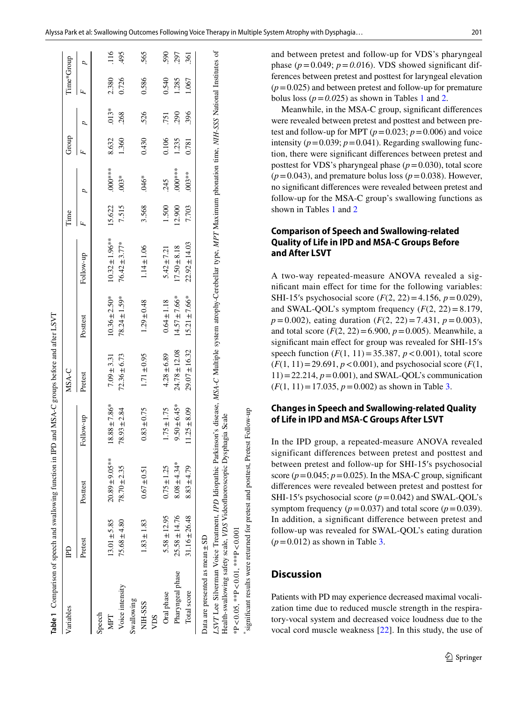| Alyssa Park et al: Swallowing Outcomes Following Voice Therapy in Multiple System Atrophy with Dysphagia | 201 |
|----------------------------------------------------------------------------------------------------------|-----|
|----------------------------------------------------------------------------------------------------------|-----|

| Variables                                                                                                                                                                                                                                                  | £                 |                     |                   | MSA-C             |                   |                     | lime   |          | Group |         | Time*Group |                  |
|------------------------------------------------------------------------------------------------------------------------------------------------------------------------------------------------------------------------------------------------------------|-------------------|---------------------|-------------------|-------------------|-------------------|---------------------|--------|----------|-------|---------|------------|------------------|
|                                                                                                                                                                                                                                                            | Pretest           | Posttest            | Follow-up         | Pretest           | Posttest          | Follow-up           |        |          |       |         | Ŀ,         |                  |
| Speech                                                                                                                                                                                                                                                     |                   |                     |                   |                   |                   |                     |        |          |       |         |            |                  |
| MPT                                                                                                                                                                                                                                                        | $13.01 \pm 5.85$  | $20.89 \pm 9.05***$ | $18.88 \pm 7.86*$ | $7.09 \pm 3.31$   | $10.36 \pm 2.50*$ | $10.32 \pm 1.96***$ | 15.622 | $000**$  | 8.632 | $.013*$ | 2.380      | $\frac{116}{1}$  |
| Voice intensity                                                                                                                                                                                                                                            | $75.68 \pm 4.80$  | $78.70 \pm 2.35$    | $78.93 \pm 2.84$  | $72.36 \pm 6.73$  | $78.24 \pm 1.59*$ | $76.42 \pm 3.77*$   | 7.515  | $.003*$  | 1.360 | 268     | 0.726      | 495              |
| Swallowing                                                                                                                                                                                                                                                 |                   |                     |                   |                   |                   |                     |        |          |       |         |            |                  |
| NIH-SSS                                                                                                                                                                                                                                                    | $1.83 \pm 1.83$   | $0.67 \pm 0.51$     | $0.83 \pm 0.75$   | $1.71 \pm 0.95$   | $1.29 \pm 0.48$   | $1.14 \pm 1.06$     | 3.568  | $.046*$  | 0.430 | 526     | 0.586      | 565              |
| VDS                                                                                                                                                                                                                                                        |                   |                     |                   |                   |                   |                     |        |          |       |         |            |                  |
| Oral phase                                                                                                                                                                                                                                                 | $5.58 \pm 12.95$  | $0.75 \pm 1.25$     | $1.75 \pm 1.75$   | $4.28 \pm 6.89$   | $0.64 \pm 1.18$   | $5.42 \pm 7.21$     | 1.500  | 245      | 0.106 | 751     | 0.540      | 590              |
| Pharyngeal phase                                                                                                                                                                                                                                           | $25.58 \pm 14.76$ | $8.08 \pm 4.34*$    | $9.50 \pm 6.45*$  | $24.78 \pm 12.08$ | $4.57 \pm 7.66*$  | $17.50 \pm 8.18$    | 12.900 | $000***$ | 1.235 | 290     | 1.285      | 297              |
| Total score                                                                                                                                                                                                                                                | $31.16 \pm 26.48$ | $8.83 + 4.79$       | $11.25 \pm 8.09$  | $29.07 \pm 16.32$ | $15.21 \pm 7.66*$ | $22.92 \pm 14.03$   | 7.703  | $003**$  | 0.781 | 396     | 1.067      | $\overline{361}$ |
| Data are presented as mean ±SD                                                                                                                                                                                                                             |                   |                     |                   |                   |                   |                     |        |          |       |         |            |                  |
| LSVT Lee Silverman Voice Treatment, IPD Idiopathic Parkinson's disease, MSA-C Multiple system atrophy-Cerebellar type, MPT Maximum phonation time, NIH-SSS National Institutes of<br>Health-swallowing safety scale, VDS Videofluoroscopic Dysphagia Scale |                   |                     |                   |                   |                   |                     |        |          |       |         |            |                  |

and between pretest and follow-up for VDS's pharyngeal phase ( $p = 0.049$ ;  $p = 0.016$ ). VDS showed significant differences between pretest and posttest for laryngeal elevation  $(p=0.025)$  and between pretest and follow-up for premature bolus loss ( $p = 0.025$  $p = 0.025$  $p = 0.025$ ) as shown in Tables [1](#page-3-0) and 2.

Meanwhile, in the MSA-C group, signifcant diferences were revealed between pretest and posttest and between pre test and follow-up for MPT  $(p=0.023; p=0.006)$  and voice intensity ( $p = 0.039$ ;  $p = 0.041$ ). Regarding swallowing function, there were signifcant diferences between pretest and posttest for VDS's pharyngeal phase  $(p=0.030)$ , total score  $(p=0.043)$ , and premature bolus loss  $(p=0.038)$ . However, no signifcant diferences were revealed between pretest and follow-up for the MSA-C group's swallowing functions as shown in Tables [1](#page-3-0) and [2](#page-4-0)

## **Comparison of Speech and Swallowing‑related Quality of Life in IPD and MSA‑C Groups Before and After LSVT**

A two-way repeated-measure ANOVA revealed a sig nifcant main efect for time for the following variables: SHI-15's psychosocial score (*F*(2, 22) = 4.156, *p* = 0.029), and SWAL-QOL's symptom frequency  $(F(2, 22)=8.179)$ , *p* =0.002), eating duration ( *F*(2, 22) =7.431, *p* =0.003), and total score  $(F(2, 22) = 6.900, p = 0.005)$ . Meanwhile, a signifcant main efect for group was revealed for SHI-15 ′s speech function  $(F(1, 11) = 35.387, p < 0.001)$ , total score  $(F(1, 11)=29.691, p < 0.001)$ , and psychosocial score  $(F(1, 11))$  $11$ ) = 22.214,  $p$  = 0.001), and SWAL-QOL's communication  $(F(1, 11)=17.035, p=0.002)$  $(F(1, 11)=17.035, p=0.002)$  $(F(1, 11)=17.035, p=0.002)$  as shown in Table 3.

## **Changes in Speech and Swallowing‑related Quality of Life in IPD and MSA‑C Groups After LSVT**

In the IPD group, a repeated-measure ANOVA revealed significant differences between pretest and posttest and between pretest and follow-up for SHI-15 ′s psychosocial score  $(p=0.045; p=0.025)$ . In the MSA-C group, significant diferences were revealed between pretest and posttest for SHI-15's psychosocial score  $(p=0.042)$  and SWAL-QOL's symptom frequency ( $p = 0.037$ ) and total score ( $p = 0.039$ ). In addition, a signifcant diference between pretest and follow-up was revealed for S[W](#page-5-0)AL-QOL's eating duration (*<sup>p</sup>*=0.012) as shown in Table 3.

# **Discussion**

\*signifcant results were returned for pretest and posttest, Pretest Follow-up

significant results were returned for pretest and posttest, Pretest Follow-up

\*P<0.05, \*\*P<0.01, \*\*\*P<0.001

<span id="page-3-0"></span>\*P<0.05, \*\*P<0.01, \*\*\*P<0.001

Patients with PD may experience decreased maximal vocali zation time due to reduced muscle strength in the respira tory-vocal system and decreased voice loudness due to the vocal cord muscle weakness [[22](#page-8-10)]. In this study, the use of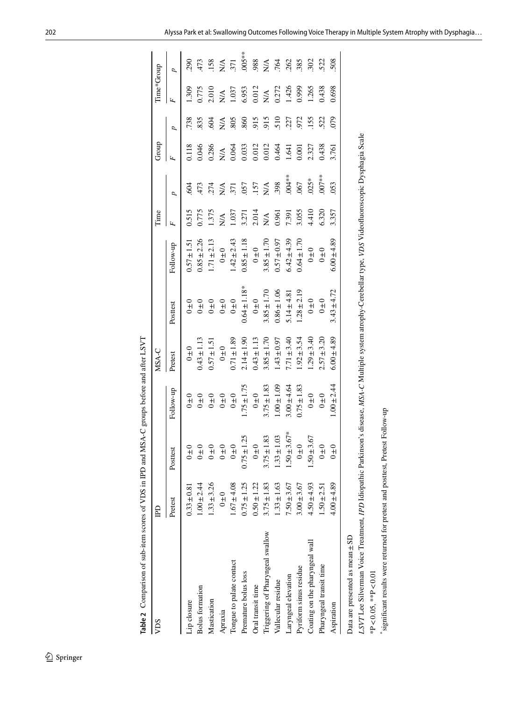\*P<0.05, \*\*P<0.01

<span id="page-4-0"></span>\*P<0.05, \*\*P<0.01

\*signifcant results were returned for pretest and posttest, Pretest Follow-up

\*significant results were returned for pretest and posttest, Pretest Follow-up

| VDS                                                                                                                                                          | 日               |                               |                 | MSA-C           |                   |                 | Time  |          | Group          |                  | Time*Group       |                |
|--------------------------------------------------------------------------------------------------------------------------------------------------------------|-----------------|-------------------------------|-----------------|-----------------|-------------------|-----------------|-------|----------|----------------|------------------|------------------|----------------|
|                                                                                                                                                              | Pretest         | Posttest                      | Follow-up       | Pretest         | Posttest          | Follow-up       |       | d        | Ŀ,             | Þ                | Ŀ,               | d              |
| Lip closure                                                                                                                                                  | $0.33 \pm 0.81$ | $0\pm 0$                      | $0 \pm 0$       | $0 \pm 0$       | $0 \pm 0$         | $0.57 \pm 1.51$ | 0.515 | 604      | 0.118          | 738              | 1.309            | 290            |
| <b>Bolus</b> formation                                                                                                                                       | $1.00 \pm 2.44$ | $0 \pm 0$                     | $0 \pm 0$       | $0.43 \pm 1.13$ | $0 + 0$           | $0.85 \pm 2.26$ | 0.775 | 473      | 0.046          | 835              | 0.775            | 473            |
| Mastication                                                                                                                                                  | $1.33 \pm 3.26$ | $0 \pm 0$                     | $0 + 0$         | $0.57 \pm 1.5$  | $0 + 0$           | $1.71 \pm 2.13$ | 1.375 | 274      | 0.286          | 604              | 2.010            | 158            |
| Apraxia                                                                                                                                                      | $0 + 0$         | $0 + 0$                       | $0 + 0$         | $0 \pm 0$       | $0+0$             | $0 \pm 0$       | N/A   | $N_A$    | $N\mathcal{A}$ | $\sum_{i=1}^{n}$ | $\sum_{i=1}^{n}$ | $N\mathcal{A}$ |
| Tongue to palate contact                                                                                                                                     | $1.67 + 4.08$   | $0\pm0$                       | $0 \pm 0$       | $0.71 \pm 1.89$ | $0 \pm 0$         | $.42 \pm 2.43$  | 1.037 | 371      | 0.064          | 805              | 1.037            | 371            |
| Premature bolus loss                                                                                                                                         | $0.75 \pm 1.25$ | 25<br>$0.75 \pm 1$            | $.75 \pm 1.75$  | $2.14 \pm 1.90$ | $0.64 \pm 1.18$ * | $0.85 \pm 1.18$ | 3.271 | 057      | 0.033          | .860             | 6.953            | $005***$       |
| Oral transit time                                                                                                                                            | $0.50 \pm 1.22$ | $0\pm 0$                      | $0 + 0$         | $0.43 \pm 1.13$ | $0 \pm 0$         | $0 + 0$         | 2.014 | .157     | 0.012          | 915              | 0.012            | 988            |
| Triggering of Pharyngeal swallow                                                                                                                             | $3.75 \pm 1.83$ | 83.<br>$3.75 \pm 1$           | $3.75 \pm 1.83$ | $3.85 \pm 1.70$ | $3.85 \pm 1.70$   | $3.85 \pm 1.70$ | NA    | N/A      | 0.012          | 915              | N/A              | $N\mathcal{A}$ |
| Vallecular residue                                                                                                                                           | $1.33 \pm 1.63$ | $\ddot{\Omega}$<br>$33 \pm 1$ | $0.00 \pm 0.09$ | $1.43 \pm 0.97$ | $0.86 \pm 1.06$   | $0.57 \pm 0.97$ | 0.961 | 398      | 0.464          | 510              | 0.272            | .764           |
| Laryngeal elevation                                                                                                                                          | $7.50 \pm 3.67$ | $.67*$<br>$1.50 \pm 3$        | $3.00 + 4.64$   | $7.71 \pm 3.40$ | $5.14 \pm 4.81$   | $6.42 \pm 4.39$ | 7.391 | $.004**$ | 1.641          | .227             | 1.426            | 262            |
| Pyriform sinus residue                                                                                                                                       | $3.00 \pm 3.67$ | $0 + 0$                       | $0.75 \pm 1.83$ | $1.92 \pm 3.54$ | $1.28 \pm 2.19$   | $0.64 \pm 1.70$ | 3.055 | .067     | 0.001          | 972              | 0.999            | 385            |
| Coating on the pharyngeal wall                                                                                                                               | $4.50 \pm 4.93$ | 67<br>$1.50 \pm 3$            | $0 \pm 0$       | $1.29 \pm 3.40$ | $0\pm 0$          | $0 \pm 0$       | 4.410 | $.025*$  | 2.327          | .155             | 1.265            | 302            |
| Pharyngeal transit time                                                                                                                                      | $1.50 \pm 2.51$ | $0 + 0$                       | $0 + 0$         | $2.57 \pm 3.20$ | $0\pm 0$          | $0 \pm 0$       | 6.320 | $.007**$ | 0.438          | 522              | 0.438            | 522            |
| Aspiration                                                                                                                                                   | $4.00 \pm 4.89$ | $_{0+0}^{\circ}$              | $.00 + 2.44$    | $6.00 \pm 4.89$ | $3.43 + 4.72$     | $6.00 \pm 4.89$ | 3.357 | 053      | 3.761          | 079              | 0.698            | 508            |
| Data are presented as mean ±SD                                                                                                                               |                 |                               |                 |                 |                   |                 |       |          |                |                  |                  |                |
| LSVT Lee Silverman Voice Treatment, IPD Idiopathic Parkinson's disease, MSA-C Multiple system atrophy-Cerebellar type, VDS Videofluoroscopic Dysphagia Scale |                 |                               |                 |                 |                   |                 |       |          |                |                  |                  |                |
|                                                                                                                                                              |                 |                               |                 |                 |                   |                 |       |          |                |                  |                  |                |

Table 2 Comparison of sub-item scores of VDS in IPD and MSA-C groups before and after LSVT **Table 2** Comparison of sub-item scores of VDS in IPD and MSA-C groups before and after LSVT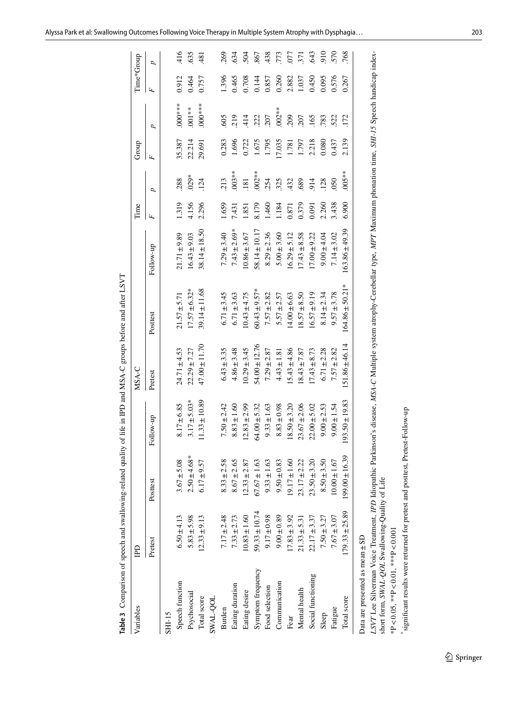| Table 3 Comparison of speech and swallowing-related quality |                    |                    |                    |                   | of life in IPD and MSA-C groups before and after LSVT |                    |       |          |        |           |            |        |
|-------------------------------------------------------------|--------------------|--------------------|--------------------|-------------------|-------------------------------------------------------|--------------------|-------|----------|--------|-----------|------------|--------|
| Variables                                                   | <b>GdI</b>         |                    |                    | MSA-C             |                                                       |                    | Time  |          | Group  |           | Time*Group |        |
|                                                             | Pretest            | Posttest           | Follow-up          | Pretest           | Posttest                                              | Follow-up          | Ŀ,    | ρ        | Ŀ,     | ρ         | Ŀ,         | ρ      |
| SHI-15                                                      |                    |                    |                    |                   |                                                       |                    |       |          |        |           |            |        |
| Speech function                                             | $6.50 \pm 4.13$    | $3.67 + 5.08$      | $8.17 \pm 6.85$    | $24.71 \pm 4.53$  | $21.57 \pm 5.71$                                      | $21.71 \pm 9.89$   | 1.319 | 288      | 35.387 | $000***$  | 0.912      | 416    |
| Psychosocial                                                | $5.83 \pm 5.98$    | $2.50 + 4.68*$     | $3.17 \pm 5.03*$   | $22.29 \pm 7.27$  | $17.57 \pm 6.32*$                                     | $16.43 \pm 9.03$   | 4.156 | $029*$   | 22.214 | $.001**$  | 0.464      | 635    |
| Total score                                                 | $12.33 \pm 9.13$   | $6.17 \pm 9.57$    | $11.33 \pm 10.89$  | $47.00 \pm 11.70$ | 39.14±11.68                                           | $38.14 \pm 18.50$  | 2.296 | 124      | 29.691 | $000***$  | 0.757      | $-481$ |
| SWAL-QOL                                                    |                    |                    |                    |                   |                                                       |                    |       |          |        |           |            |        |
| Burden                                                      | $7.17 \pm 2.48$    | $8.33 \pm 2.58$    | $7.50 \pm 2.42$    | $6.43 \pm 3.35$   | $6.71 \pm 3.45$                                       | $7.29 \pm 3.40$    | 1.659 | 213      | 0.283  | 605       | 1.396      | 269    |
| Eating duration                                             | $7.33 \pm 2.73$    | $8.67 \pm 2.65$    | $8.83 \pm 1.60$    | $4.86 \pm 3.48$   | $6.71 \pm 3.63$                                       | $7.43 \pm 2.69*$   | 1,431 | $003***$ | 1.696  | 219       | 0.465      | 634    |
| Eating desire                                               | $10.83 \pm 1.60$   | $12.33 \pm 2.87$   | $12.83 \pm 2.99$   | $10.29 \pm 3.45$  | $10.43 \pm 4.75$                                      | $10.86 \pm 3.67$   | .851  | 181      | 0.722  | 414       | 0.708      | 504    |
| Symptom frequency                                           | $59.33 \pm 10.74$  | $67.67 \pm 1.63$   | $64.00 \pm 5.32$   | $54.00 \pm 12.76$ | $60.43 \pm 9.57*$                                     | $58.14 \pm 10.17$  | 8.179 | $.002**$ | 1.675  | 222       | 0.144      | 867    |
| Food selection                                              | $9.17 \pm 0.98$    | $9.33 \pm 1.63$    | $9.33 \pm 1.63$    | $7.29 \pm 2.87$   | $7.57 \pm 2.82$                                       | $8.29 \pm 2.36$    | 1.460 | 254      | 1.795  | 207       | 0.857      | 438    |
| Communication                                               | $9.00 \pm 0.89$    | $9.50 \pm 0.83$    | $8.83 \pm 0.98$    | $4.43 \pm 1.81$   | $5.57 \pm 2.57$                                       | $5.00 \pm 3.60$    | 1.184 | 325      | 17.035 | $.002***$ | 0.260      | .773   |
| Fear                                                        | $17.83 + 3.92$     | $19.17 \pm 1.60$   | $18.50 \pm 3.20$   | $15.43 \pm 4.86$  | $14.00 \pm 6.63$                                      | $16.29 \pm 5.12$   | 0.871 | 432      | 1.781  | 209       | 2.882      | 577    |
| Mental health                                               | $21.33 \pm 5.31$   | $23.17 \pm 2.22$   | $23.67 \pm 2.06$   | $18.43 \pm 7.87$  | $8.57 \pm 8.50$                                       | $17.43 \pm 8.58$   | 0.379 | 689      | 1.797  | 207       | 1.037      | 571    |
| Social functioning                                          | $22.17 \pm 3.37$   | $23.50 \pm 3.20$   | $22.00 \pm 5.02$   | $17.43 \pm 8.73$  | $16.57 \pm 9.19$                                      | $17.00 \pm 9.22$   | 0.091 | 914      | 2.218  | 165       | 0.450      | 643    |
| Sleep                                                       | $7.50 \pm 3.27$    | $8.50 \pm 3.50$    | $9.00 \pm 2.53$    | $6.71 \pm 2.28$   | $8.14 \pm 2.34$                                       | $9.00 \pm 4.04$    | 2.260 | 128      | 0.080  | 783       | 0.095      | 910    |
| Fatigue                                                     | $7.67 + 3.07$      | $10.00 \pm 1.67$   | $9.00 \pm 1.54$    | $7.57 \pm 2.82$   | $9.57 \pm 3.78$                                       | $7.14 \pm 3.02$    | 3.438 | 050      | 0.437  | 522       | 0.576      | 570    |
| Total score                                                 | $179.33 \pm 25.89$ | $199.00 \pm 16.39$ | $193.50 \pm 19.83$ | 151.86±46.14      | $164.86 \pm 50.21*$                                   | $163.86 \pm 49.39$ | 6.900 | $005**$  | 2.139  | 172       | 0.267      | 768    |
| Data are presented as mean±SD                               |                    |                    |                    |                   |                                                       |                    |       |          |        |           |            |        |

LSVT Lee Silverman Voice Treatment, IPD Idiopathic Parkinson's disease, MSA-C Multiple system atrophy-Cerebellar type, MPT Maximum phonation time, SHI-15 Speech handicap index-<br>short form, SWAL-QOL Swallowing-Quality of Li *LSVT* Lee Silverman Voice Treatment, *IPD* Idiopathic Parkinson's disease, *MSA-C* Multiple system atrophy-Cerebellar type, *MPT* Maximum phonation time, *SHI-15* Speech handicap indexshort form, *SWAL-QOL* Swallowing-Quality of Life

<span id="page-5-0"></span>\*P<0.05, \*\*P<0.01, \*\*\*P<0.001 \*P<0.05, \*\*P<0.01, \*\*\*P<0.001

\*significant results were returned for pretest and posttest, Pretest-Follow-up \*signifcant results were returned for pretest and posttest, Pretest-Follow-up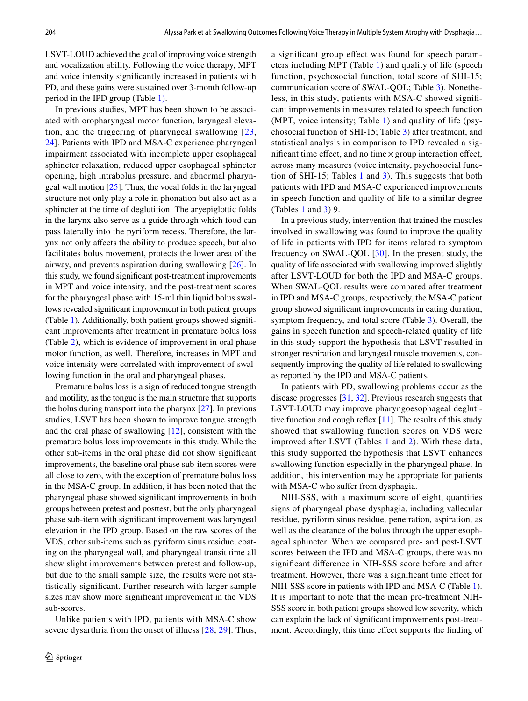LSVT-LOUD achieved the goal of improving voice strength and vocalization ability. Following the voice therapy, MPT and voice intensity signifcantly increased in patients with PD, and these gains were sustained over 3-month follow-up period in the IPD group (Table [1\)](#page-3-0).

In previous studies, MPT has been shown to be associated with oropharyngeal motor function, laryngeal elevation, and the triggering of pharyngeal swallowing [[23,](#page-8-11) [24](#page-8-12)]. Patients with IPD and MSA-C experience pharyngeal impairment associated with incomplete upper esophageal sphincter relaxation, reduced upper esophageal sphincter opening, high intrabolus pressure, and abnormal pharyngeal wall motion  $[25]$  $[25]$ . Thus, the vocal folds in the laryngeal structure not only play a role in phonation but also act as a sphincter at the time of deglutition. The aryepiglottic folds in the larynx also serve as a guide through which food can pass laterally into the pyriform recess. Therefore, the larynx not only afects the ability to produce speech, but also facilitates bolus movement, protects the lower area of the airway, and prevents aspiration during swallowing [[26](#page-8-14)]. In this study, we found signifcant post-treatment improvements in MPT and voice intensity, and the post-treatment scores for the pharyngeal phase with 15-ml thin liquid bolus swallows revealed signifcant improvement in both patient groups (Table [1](#page-3-0)). Additionally, both patient groups showed signifcant improvements after treatment in premature bolus loss (Table [2\)](#page-4-0), which is evidence of improvement in oral phase motor function, as well. Therefore, increases in MPT and voice intensity were correlated with improvement of swallowing function in the oral and pharyngeal phases.

Premature bolus loss is a sign of reduced tongue strength and motility, as the tongue is the main structure that supports the bolus during transport into the pharynx [\[27](#page-8-15)]. In previous studies, LSVT has been shown to improve tongue strength and the oral phase of swallowing [[12](#page-8-0)], consistent with the premature bolus loss improvements in this study. While the other sub-items in the oral phase did not show signifcant improvements, the baseline oral phase sub-item scores were all close to zero, with the exception of premature bolus loss in the MSA-C group. In addition, it has been noted that the pharyngeal phase showed signifcant improvements in both groups between pretest and posttest, but the only pharyngeal phase sub-item with signifcant improvement was laryngeal elevation in the IPD group. Based on the raw scores of the VDS, other sub-items such as pyriform sinus residue, coating on the pharyngeal wall, and pharyngeal transit time all show slight improvements between pretest and follow-up, but due to the small sample size, the results were not statistically signifcant. Further research with larger sample sizes may show more signifcant improvement in the VDS sub-scores.

Unlike patients with IPD, patients with MSA-C show severe dysarthria from the onset of illness [[28,](#page-8-16) [29](#page-8-17)]. Thus, a signifcant group efect was found for speech parameters including MPT (Table [1](#page-3-0)) and quality of life (speech function, psychosocial function, total score of SHI-15; communication score of SWAL-QOL; Table [3](#page-5-0)). Nonetheless, in this study, patients with MSA-C showed signifcant improvements in measures related to speech function (MPT, voice intensity; Table [1\)](#page-3-0) and quality of life (psychosocial function of SHI-15; Table [3](#page-5-0)) after treatment, and statistical analysis in comparison to IPD revealed a significant time effect, and no time  $\times$  group interaction effect, across many measures (voice intensity, psychosocial function of SHI-15; Tables [1](#page-3-0) and [3\)](#page-5-0). This suggests that both patients with IPD and MSA-C experienced improvements in speech function and quality of life to a similar degree (Tables [1](#page-3-0) and [3](#page-5-0)) 9.

In a previous study, intervention that trained the muscles involved in swallowing was found to improve the quality of life in patients with IPD for items related to symptom frequency on SWAL-QOL [\[30\]](#page-8-18). In the present study, the quality of life associated with swallowing improved slightly after LSVT-LOUD for both the IPD and MSA-C groups. When SWAL-QOL results were compared after treatment in IPD and MSA-C groups, respectively, the MSA-C patient group showed signifcant improvements in eating duration, symptom frequency, and total score (Table [3\)](#page-5-0). Overall, the gains in speech function and speech-related quality of life in this study support the hypothesis that LSVT resulted in stronger respiration and laryngeal muscle movements, consequently improving the quality of life related to swallowing as reported by the IPD and MSA-C patients.

In patients with PD, swallowing problems occur as the disease progresses [\[31](#page-8-19), [32](#page-8-20)]. Previous research suggests that LSVT-LOUD may improve pharyngoesophageal deglutitive function and cough refex [[11\]](#page-7-10). The results of this study showed that swallowing function scores on VDS were improved after LSVT (Tables [1](#page-3-0) and [2](#page-4-0)). With these data, this study supported the hypothesis that LSVT enhances swallowing function especially in the pharyngeal phase. In addition, this intervention may be appropriate for patients with MSA-C who suffer from dysphagia.

NIH-SSS, with a maximum score of eight, quantifes signs of pharyngeal phase dysphagia, including vallecular residue, pyriform sinus residue, penetration, aspiration, as well as the clearance of the bolus through the upper esophageal sphincter. When we compared pre- and post-LSVT scores between the IPD and MSA-C groups, there was no signifcant diference in NIH-SSS score before and after treatment. However, there was a signifcant time efect for NIH-SSS score in patients with IPD and MSA-C (Table [1](#page-3-0)). It is important to note that the mean pre-treatment NIH-SSS score in both patient groups showed low severity, which can explain the lack of signifcant improvements post-treatment. Accordingly, this time efect supports the fnding of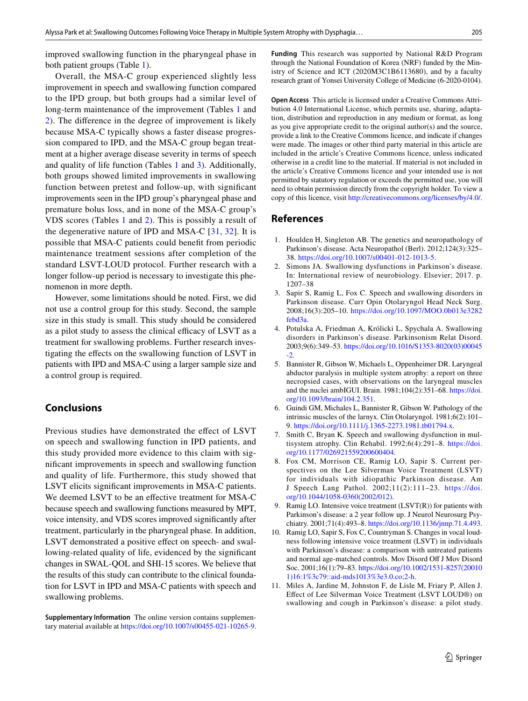improved swallowing function in the pharyngeal phase in both patient groups (Table [1\)](#page-3-0).

Overall, the MSA-C group experienced slightly less improvement in speech and swallowing function compared to the IPD group, but both groups had a similar level of long-term maintenance of the improvement (Tables [1](#page-3-0) and [2](#page-4-0)). The diference in the degree of improvement is likely because MSA-C typically shows a faster disease progression compared to IPD, and the MSA-C group began treatment at a higher average disease severity in terms of speech and quality of life function (Tables [1](#page-3-0) and [3](#page-5-0)). Additionally, both groups showed limited improvements in swallowing function between pretest and follow-up, with signifcant improvements seen in the IPD group's pharyngeal phase and premature bolus loss, and in none of the MSA-C group's VDS scores (Tables [1](#page-3-0) and [2\)](#page-4-0). This is possibly a result of the degenerative nature of IPD and MSA-C [[31](#page-8-19), [32\]](#page-8-20). It is possible that MSA-C patients could beneft from periodic maintenance treatment sessions after completion of the standard LSVT-LOUD protocol. Further research with a longer follow-up period is necessary to investigate this phenomenon in more depth.

However, some limitations should be noted. First, we did not use a control group for this study. Second, the sample size in this study is small. This study should be considered as a pilot study to assess the clinical efficacy of LSVT as a treatment for swallowing problems. Further research investigating the efects on the swallowing function of LSVT in patients with IPD and MSA-C using a larger sample size and a control group is required.

# **Conclusions**

Previous studies have demonstrated the effect of LSVT on speech and swallowing function in IPD patients, and this study provided more evidence to this claim with signifcant improvements in speech and swallowing function and quality of life. Furthermore, this study showed that LSVT elicits signifcant improvements in MSA-C patients. We deemed LSVT to be an effective treatment for MSA-C because speech and swallowing functions measured by MPT, voice intensity, and VDS scores improved signifcantly after treatment, particularly in the pharyngeal phase. In addition, LSVT demonstrated a positive effect on speech- and swallowing-related quality of life, evidenced by the signifcant changes in SWAL-QOL and SHI-15 scores. We believe that the results of this study can contribute to the clinical foundation for LSVT in IPD and MSA-C patients with speech and swallowing problems.

**Supplementary Information** The online version contains supplementary material available at<https://doi.org/10.1007/s00455-021-10265-9>. **Funding** This research was supported by National R&D Program through the National Foundation of Korea (NRF) funded by the Ministry of Science and ICT (2020M3C1B6113680), and by a faculty research grant of Yonsei University College of Medicine (6-2020-0104).

**Open Access** This article is licensed under a Creative Commons Attribution 4.0 International License, which permits use, sharing, adaptation, distribution and reproduction in any medium or format, as long as you give appropriate credit to the original author(s) and the source, provide a link to the Creative Commons licence, and indicate if changes were made. The images or other third party material in this article are included in the article's Creative Commons licence, unless indicated otherwise in a credit line to the material. If material is not included in the article's Creative Commons licence and your intended use is not permitted by statutory regulation or exceeds the permitted use, you will need to obtain permission directly from the copyright holder. To view a copy of this licence, visit<http://creativecommons.org/licenses/by/4.0/>.

#### **References**

- <span id="page-7-0"></span>1. Houlden H, Singleton AB. The genetics and neuropathology of Parkinson's disease. Acta Neuropathol (Berl). 2012;124(3):325– 38.<https://doi.org/10.1007/s00401-012-1013-5>.
- <span id="page-7-1"></span>2. Simons JA. Swallowing dysfunctions in Parkinson's disease. In: International review of neurobiology. Elsevier; 2017. p. 1207–38
- <span id="page-7-2"></span>3. Sapir S, Ramig L, Fox C. Speech and swallowing disorders in Parkinson disease. Curr Opin Otolaryngol Head Neck Surg. 2008;16(3):205–10. [https://doi.org/10.1097/MOO.0b013e3282](https://doi.org/10.1097/MOO.0b013e3282febd3a) [febd3a](https://doi.org/10.1097/MOO.0b013e3282febd3a).
- <span id="page-7-3"></span>4. Potulska A, Friedman A, Królicki L, Spychala A. Swallowing disorders in Parkinson's disease. Parkinsonism Relat Disord. 2003;9(6):349–53. [https://doi.org/10.1016/S1353-8020\(03\)00045](https://doi.org/10.1016/S1353-8020(03)00045-2) [-2](https://doi.org/10.1016/S1353-8020(03)00045-2).
- <span id="page-7-4"></span>5. Bannister R, Gibson W, Michaels L, Oppenheimer DR. Laryngeal abductor paralysis in multiple system atrophy: a report on three necropsied cases, with observations on the laryngeal muscles and the nuclei ambIGUI. Brain. 1981;104(2):351–68. [https://doi.](https://doi.org/10.1093/brain/104.2.351) [org/10.1093/brain/104.2.351.](https://doi.org/10.1093/brain/104.2.351)
- <span id="page-7-5"></span>6. Guindi GM, Michales L, Bannister R, Gibson W. Pathology of the intrinsic muscles of the larnyx. Clin Otolaryngol. 1981;6(2):101– 9. [https://doi.org/10.1111/j.1365-2273.1981.tb01794.x.](https://doi.org/10.1111/j.1365-2273.1981.tb01794.x)
- <span id="page-7-6"></span>7. Smith C, Bryan K. Speech and swallowing dysfunction in multisystem atrophy. Clin Rehabil. 1992;6(4):291–8. [https://doi.](https://doi.org/10.1177/026921559200600404) [org/10.1177/026921559200600404](https://doi.org/10.1177/026921559200600404).
- <span id="page-7-7"></span>8. Fox CM, Morrison CE, Ramig LO, Sapir S. Current perspectives on the Lee Silverman Voice Treatment (LSVT) for individuals with idiopathic Parkinson disease. Am J Speech Lang Pathol. 2002;11(2):111–23. [https://doi.](https://doi.org/10.1044/1058-0360(2002/012)) [org/10.1044/1058-0360\(2002/012\).](https://doi.org/10.1044/1058-0360(2002/012))
- <span id="page-7-8"></span>9. Ramig LO. Intensive voice treatment (LSVT(R)) for patients with Parkinson's disease: a 2 year follow up. J Neurol Neurosurg Psychiatry. 2001;71(4):493–8.<https://doi.org/10.1136/jnnp.71.4.493>.
- <span id="page-7-9"></span>10. Ramig LO, Sapir S, Fox C, Countryman S. Changes in vocal loudness following intensive voice treatment (LSVT) in individuals with Parkinson's disease: a comparison with untreated patients and normal age-matched controls. Mov Disord Of J Mov Disord Soc. 2001;16(1):79–83. [https://doi.org/10.1002/1531-8257\(20010](https://doi.org/10.1002/1531-8257(200101)16:1%3c79::aid-mds1013%3e3.0.co;2-h) [1\)16:1%3c79::aid-mds1013%3e3.0.co;2-h.](https://doi.org/10.1002/1531-8257(200101)16:1%3c79::aid-mds1013%3e3.0.co;2-h)
- <span id="page-7-10"></span>11. Miles A, Jardine M, Johnston F, de Lisle M, Friary P, Allen J. Efect of Lee Silverman Voice Treatment (LSVT LOUD®) on swallowing and cough in Parkinson's disease: a pilot study.